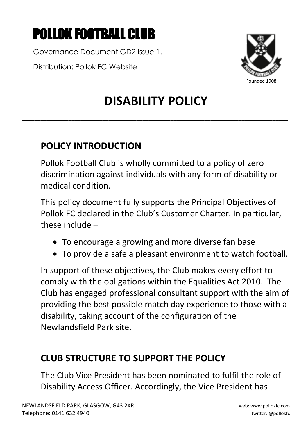# POLLOK FOOTBALL CLUB

Governance Document GD2 Issue 1.

Distribution: Pollok FC Website



# **DISABILITY POLICY**

**\_\_\_\_\_\_\_\_\_\_\_\_\_\_\_\_\_\_\_\_\_\_\_\_\_\_\_\_\_\_\_\_\_\_\_\_\_\_\_\_\_\_\_\_\_\_\_\_\_\_\_\_\_\_\_\_\_\_\_\_\_\_\_\_\_\_\_\_\_\_\_\_\_\_\_\_\_\_\_\_\_\_\_\_\_\_**

# **POLICY INTRODUCTION**

Pollok Football Club is wholly committed to a policy of zero discrimination against individuals with any form of disability or medical condition.

This policy document fully supports the Principal Objectives of Pollok FC declared in the Club's Customer Charter. In particular, these include –

- To encourage a growing and more diverse fan base
- To provide a safe a pleasant environment to watch football.

In support of these objectives, the Club makes every effort to comply with the obligations within the Equalities Act 2010. The Club has engaged professional consultant support with the aim of providing the best possible match day experience to those with a disability, taking account of the configuration of the Newlandsfield Park site.

### **CLUB STRUCTURE TO SUPPORT THE POLICY**

The Club Vice President has been nominated to fulfil the role of Disability Access Officer. Accordingly, the Vice President has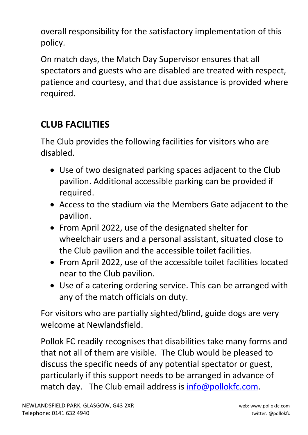overall responsibility for the satisfactory implementation of this policy.

On match days, the Match Day Supervisor ensures that all spectators and guests who are disabled are treated with respect, patience and courtesy, and that due assistance is provided where required.

# **CLUB FACILITIES**

The Club provides the following facilities for visitors who are disabled.

- Use of two designated parking spaces adjacent to the Club pavilion. Additional accessible parking can be provided if required.
- Access to the stadium via the Members Gate adjacent to the pavilion.
- From April 2022, use of the designated shelter for wheelchair users and a personal assistant, situated close to the Club pavilion and the accessible toilet facilities.
- From April 2022, use of the accessible toilet facilities located near to the Club pavilion.
- Use of a catering ordering service. This can be arranged with any of the match officials on duty.

For visitors who are partially sighted/blind, guide dogs are very welcome at Newlandsfield.

Pollok FC readily recognises that disabilities take many forms and that not all of them are visible. The Club would be pleased to discuss the specific needs of any potential spectator or guest, particularly if this support needs to be arranged in advance of match day. The Club email address is [info@pollokfc.com.](mailto:info@pollokfc.com)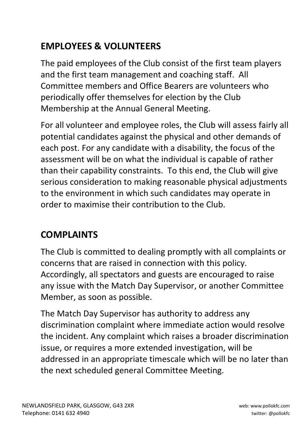# **EMPLOYEES & VOLUNTEERS**

The paid employees of the Club consist of the first team players and the first team management and coaching staff. All Committee members and Office Bearers are volunteers who periodically offer themselves for election by the Club Membership at the Annual General Meeting.

For all volunteer and employee roles, the Club will assess fairly all potential candidates against the physical and other demands of each post. For any candidate with a disability, the focus of the assessment will be on what the individual is capable of rather than their capability constraints. To this end, the Club will give serious consideration to making reasonable physical adjustments to the environment in which such candidates may operate in order to maximise their contribution to the Club.

# **COMPLAINTS**

The Club is committed to dealing promptly with all complaints or concerns that are raised in connection with this policy. Accordingly, all spectators and guests are encouraged to raise any issue with the Match Day Supervisor, or another Committee Member, as soon as possible.

The Match Day Supervisor has authority to address any discrimination complaint where immediate action would resolve the incident. Any complaint which raises a broader discrimination issue, or requires a more extended investigation, will be addressed in an appropriate timescale which will be no later than the next scheduled general Committee Meeting.